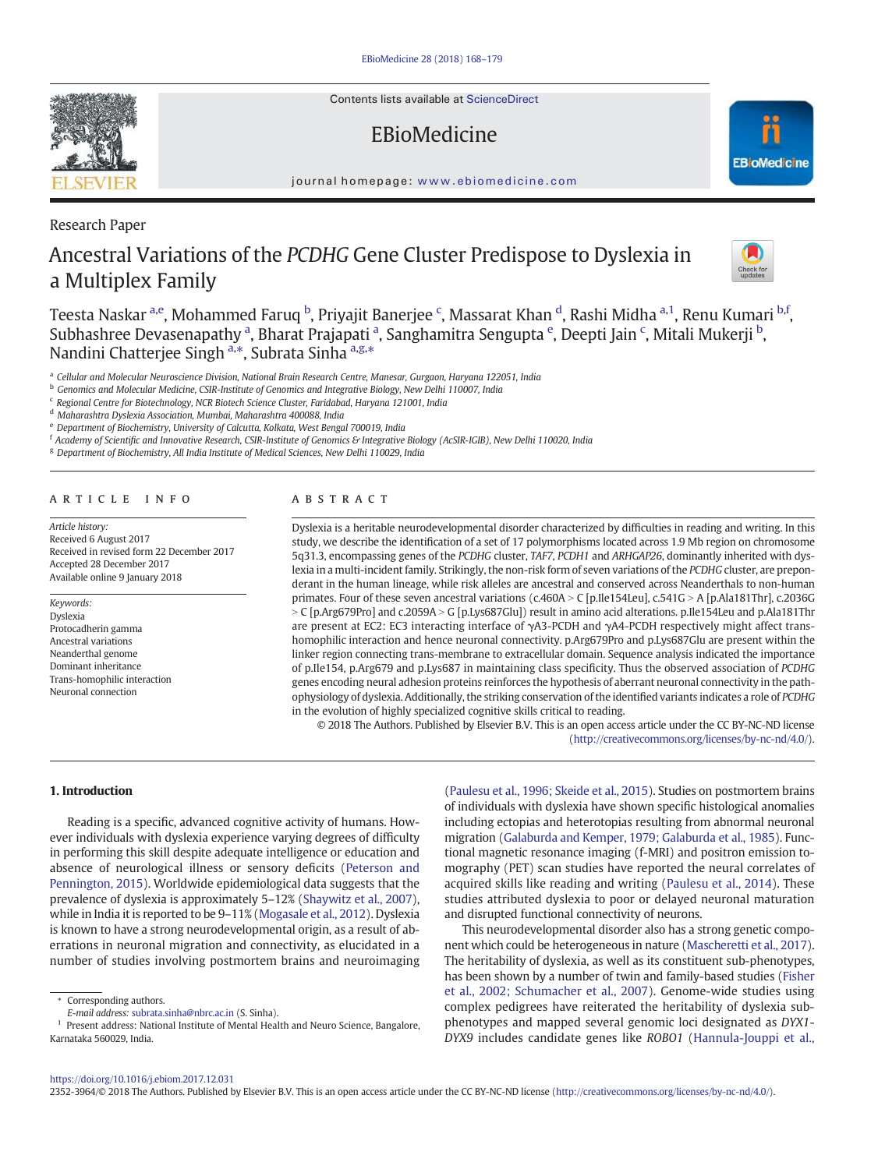Contents lists available at ScienceDirect

# EBioMedicine

journal homepage: www.ebiomedicine.com

Research Paper

# Ancestral Variations of the *PCDHG* Gene Cluster Predispose to Dyslexia in a Multiplex Family



a *Cellular and Molecular Neuroscience Division, National Brain Research Centre, Manesar, Gurgaon, Haryana 122051, India*

<sup>b</sup> *Genomics and Molecular Medicine, CSIR-Institute of Genomics and Integrative Biology, New Delhi 110007, India*

c *Regional Centre for Biotechnology, NCR Biotech Science Cluster, Faridabad, Haryana 121001, India*

<sup>d</sup> *Maharashtra Dyslexia Association, Mumbai, Maharashtra 400088, India*

<sup>e</sup> *Department of Biochemistry, University of Calcutta, Kolkata, West Bengal 700019, India*

f *Academy of Scienti*fi*c and Innovative Research, CSIR-Institute of Genomics & Integrative Biology (AcSIR-IGIB), New Delhi 110020, India*

<sup>g</sup> *Department of Biochemistry, All India Institute of Medical Sciences, New Delhi 110029, India*

# article info abstract

*Article history:* Received 6 August 2017 Received in revised form 22 December 2017 Accepted 28 December 2017 Available online 9 January 2018

#### *Keywords:*

Dyslexia Protocadherin gamma Ancestral variations Neanderthal genome Dominant inheritance Trans-homophilic interaction Neuronal connection

Dyslexia is a heritable neurodevelopmental disorder characterized by difficulties in reading and writing. In this study, we describe the identification of a set of 17 polymorphisms located across 1.9 Mb region on chromosome 5q31.3, encompassing genes of the *PCDHG* cluster, *TAF7*, *PCDH1* and *ARHGAP26*, dominantly inherited with dyslexia in a multi-incident family. Strikingly, the non-risk form of seven variations of the *PCDHG* cluster, are preponderant in the human lineage, while risk alleles are ancestral and conserved across Neanderthals to non-human primates. Four of these seven ancestral variations (c.460A > C [p.Ile154Leu], c.541G > A [p.Ala181Thr], c.2036G  $>$  C [p.Arg679Pro] and c.2059A  $>$  G [p.Lys687Glu]) result in amino acid alterations. p.Ile154Leu and p.Ala181Thr are present at EC2: EC3 interacting interface of γA3-PCDH and γA4-PCDH respectively might affect transhomophilic interaction and hence neuronal connectivity. p.Arg679Pro and p.Lys687Glu are present within the linker region connecting trans-membrane to extracellular domain. Sequence analysis indicated the importance of p.Ile154, p.Arg679 and p.Lys687 in maintaining class specificity. Thus the observed association of *PCDHG* genes encoding neural adhesion proteins reinforces the hypothesis of aberrant neuronal connectivity in the pathophysiology of dyslexia. Additionally, the striking conservation of the identified variants indicates a role of *PCDHG* in the evolution of highly specialized cognitive skills critical to reading.

© 2018 The Authors. Published by Elsevier B.V. This is an open access article under the CC BY-NC-ND license (http://creativecommons.org/licenses/by-nc-nd/4.0/).

1. Introduction

Reading is a specific, advanced cognitive activity of humans. However individuals with dyslexia experience varying degrees of difficulty in performing this skill despite adequate intelligence or education and absence of neurological illness or sensory deficits (Peterson and Pennington, 2015). Worldwide epidemiological data suggests that the prevalence of dyslexia is approximately 5–12% (Shaywitz et al., 2007), while in India it is reported to be 9–11% (Mogasale et al., 2012). Dyslexia is known to have a strong neurodevelopmental origin, as a result of aberrations in neuronal migration and connectivity, as elucidated in a number of studies involving postmortem brains and neuroimaging

(Paulesu et al., 1996; Skeide et al., 2015). Studies on postmortem brains of individuals with dyslexia have shown specific histological anomalies including ectopias and heterotopias resulting from abnormal neuronal migration (Galaburda and Kemper, 1979; Galaburda et al., 1985). Functional magnetic resonance imaging (f-MRI) and positron emission tomography (PET) scan studies have reported the neural correlates of acquired skills like reading and writing (Paulesu et al., 2014). These studies attributed dyslexia to poor or delayed neuronal maturation and disrupted functional connectivity of neurons.

This neurodevelopmental disorder also has a strong genetic component which could be heterogeneous in nature (Mascheretti et al., 2017). The heritability of dyslexia, as well as its constituent sub-phenotypes, has been shown by a number of twin and family-based studies (Fisher et al., 2002; Schumacher et al., 2007). Genome-wide studies using complex pedigrees have reiterated the heritability of dyslexia subphenotypes and mapped several genomic loci designated as *DYX1*- *DYX9* includes candidate genes like *ROBO1* (Hannula-Jouppi et al.,







<sup>⁎</sup> Corresponding authors.

*E-mail address:* subrata.sinha@nbrc.ac.in (S. Sinha).

<sup>&</sup>lt;sup>1</sup> Present address: National Institute of Mental Health and Neuro Science, Bangalore, Karnataka 560029, India.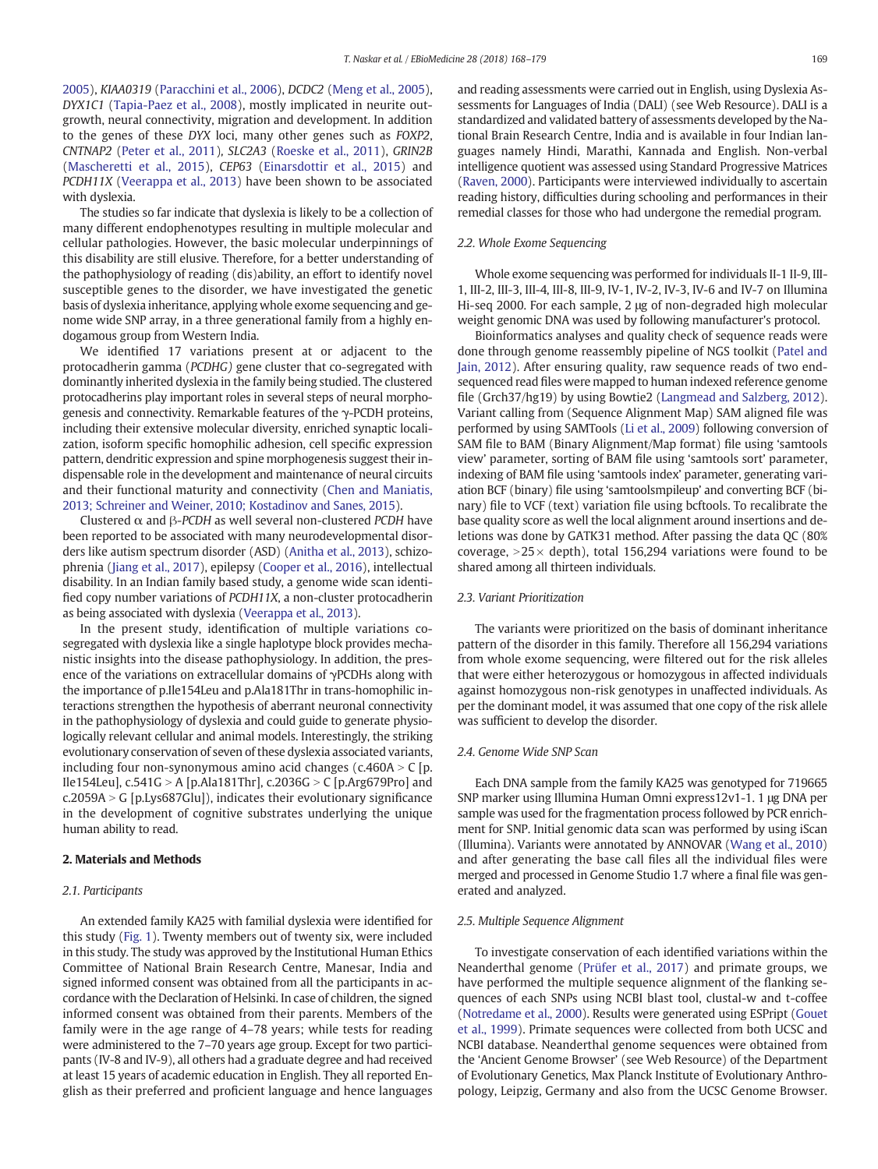2005), *KIAA0319* (Paracchini et al., 2006), *DCDC2* (Meng et al., 2005), *DYX1C1* (Tapia-Paez et al., 2008), mostly implicated in neurite outgrowth, neural connectivity, migration and development. In addition to the genes of these *DYX* loci, many other genes such as *FOXP2*, *CNTNAP2* (Peter et al., 2011)*, SLC2A3* (Roeske et al., 2011), *GRIN2B* (Mascheretti et al., 2015), *CEP63* (Einarsdottir et al., 2015) and *PCDH11X* (Veerappa et al., 2013) have been shown to be associated with dyslexia.

The studies so far indicate that dyslexia is likely to be a collection of many different endophenotypes resulting in multiple molecular and cellular pathologies. However, the basic molecular underpinnings of this disability are still elusive. Therefore, for a better understanding of the pathophysiology of reading (dis)ability, an effort to identify novel susceptible genes to the disorder, we have investigated the genetic basis of dyslexia inheritance, applying whole exome sequencing and genome wide SNP array, in a three generational family from a highly endogamous group from Western India.

We identified 17 variations present at or adjacent to the protocadherin gamma (*PCDHG)* gene cluster that co-segregated with dominantly inherited dyslexia in the family being studied. The clustered protocadherins play important roles in several steps of neural morphogenesis and connectivity. Remarkable features of the γ-PCDH proteins, including their extensive molecular diversity, enriched synaptic localization, isoform specific homophilic adhesion, cell specific expression pattern, dendritic expression and spine morphogenesis suggest their indispensable role in the development and maintenance of neural circuits and their functional maturity and connectivity (Chen and Maniatis, 2013; Schreiner and Weiner, 2010; Kostadinov and Sanes, 2015).

Clustered α and β-*PCDH* as well several non-clustered *PCDH* have been reported to be associated with many neurodevelopmental disorders like autism spectrum disorder (ASD) (Anitha et al., 2013), schizophrenia (Jiang et al., 2017), epilepsy (Cooper et al., 2016), intellectual disability. In an Indian family based study, a genome wide scan identified copy number variations of *PCDH11X*, a non-cluster protocadherin as being associated with dyslexia (Veerappa et al., 2013).

In the present study, identification of multiple variations cosegregated with dyslexia like a single haplotype block provides mechanistic insights into the disease pathophysiology. In addition, the presence of the variations on extracellular domains of γPCDHs along with the importance of p.Ile154Leu and p.Ala181Thr in trans-homophilic interactions strengthen the hypothesis of aberrant neuronal connectivity in the pathophysiology of dyslexia and could guide to generate physiologically relevant cellular and animal models. Interestingly, the striking evolutionary conservation of seven of these dyslexia associated variants, including four non-synonymous amino acid changes (c.460A  $>$  C [p. Ile154Leu], c.541G > A [p.Ala181Thr], c.2036G > C [p.Arg679Pro] and  $c.2059A > G$  [p.Lys687Glu]), indicates their evolutionary significance in the development of cognitive substrates underlying the unique human ability to read.

# 2. Materials and Methods

#### *2.1. Participants*

An extended family KA25 with familial dyslexia were identified for this study (Fig. 1). Twenty members out of twenty six, were included in this study. The study was approved by the Institutional Human Ethics Committee of National Brain Research Centre, Manesar, India and signed informed consent was obtained from all the participants in accordance with the Declaration of Helsinki. In case of children, the signed informed consent was obtained from their parents. Members of the family were in the age range of 4–78 years; while tests for reading were administered to the 7–70 years age group. Except for two participants (IV-8 and IV-9), all others had a graduate degree and had received at least 15 years of academic education in English. They all reported English as their preferred and proficient language and hence languages and reading assessments were carried out in English, using Dyslexia Assessments for Languages of India (DALI) (see Web Resource). DALI is a standardized and validated battery of assessments developed by the National Brain Research Centre, India and is available in four Indian languages namely Hindi, Marathi, Kannada and English. Non-verbal intelligence quotient was assessed using Standard Progressive Matrices (Raven, 2000). Participants were interviewed individually to ascertain reading history, difficulties during schooling and performances in their remedial classes for those who had undergone the remedial program.

## *2.2. Whole Exome Sequencing*

Whole exome sequencing was performed for individuals II-1 II-9, III-1, III-2, III-3, III-4, III-8, III-9, IV-1, IV-2, IV-3, IV-6 and IV-7 on Illumina Hi-seq 2000. For each sample, 2 μg of non-degraded high molecular weight genomic DNA was used by following manufacturer's protocol.

Bioinformatics analyses and quality check of sequence reads were done through genome reassembly pipeline of NGS toolkit (Patel and Jain, 2012). After ensuring quality, raw sequence reads of two endsequenced read files were mapped to human indexed reference genome file (Grch37/hg19) by using Bowtie2 (Langmead and Salzberg, 2012). Variant calling from (Sequence Alignment Map) SAM aligned file was performed by using SAMTools (Li et al., 2009) following conversion of SAM file to BAM (Binary Alignment/Map format) file using 'samtools view' parameter, sorting of BAM file using 'samtools sort' parameter, indexing of BAM file using 'samtools index' parameter, generating variation BCF (binary) file using 'samtoolsmpileup' and converting BCF (binary) file to VCF (text) variation file using bcftools. To recalibrate the base quality score as well the local alignment around insertions and deletions was done by GATK31 method. After passing the data QC (80% coverage,  $>25\times$  depth), total 156,294 variations were found to be shared among all thirteen individuals.

#### *2.3. Variant Prioritization*

The variants were prioritized on the basis of dominant inheritance pattern of the disorder in this family. Therefore all 156,294 variations from whole exome sequencing, were filtered out for the risk alleles that were either heterozygous or homozygous in affected individuals against homozygous non-risk genotypes in unaffected individuals. As per the dominant model, it was assumed that one copy of the risk allele was sufficient to develop the disorder.

# *2.4. Genome Wide SNP Scan*

Each DNA sample from the family KA25 was genotyped for 719665 SNP marker using Illumina Human Omni express12v1-1. 1 μg DNA per sample was used for the fragmentation process followed by PCR enrichment for SNP. Initial genomic data scan was performed by using iScan (Illumina). Variants were annotated by ANNOVAR (Wang et al., 2010) and after generating the base call files all the individual files were merged and processed in Genome Studio 1.7 where a final file was generated and analyzed.

#### *2.5. Multiple Sequence Alignment*

To investigate conservation of each identified variations within the Neanderthal genome (Prüfer et al., 2017) and primate groups, we have performed the multiple sequence alignment of the flanking sequences of each SNPs using NCBI blast tool, clustal-w and t-coffee (Notredame et al., 2000). Results were generated using ESPript (Gouet et al., 1999). Primate sequences were collected from both UCSC and NCBI database. Neanderthal genome sequences were obtained from the 'Ancient Genome Browser' (see Web Resource) of the Department of Evolutionary Genetics, Max Planck Institute of Evolutionary Anthropology, Leipzig, Germany and also from the UCSC Genome Browser.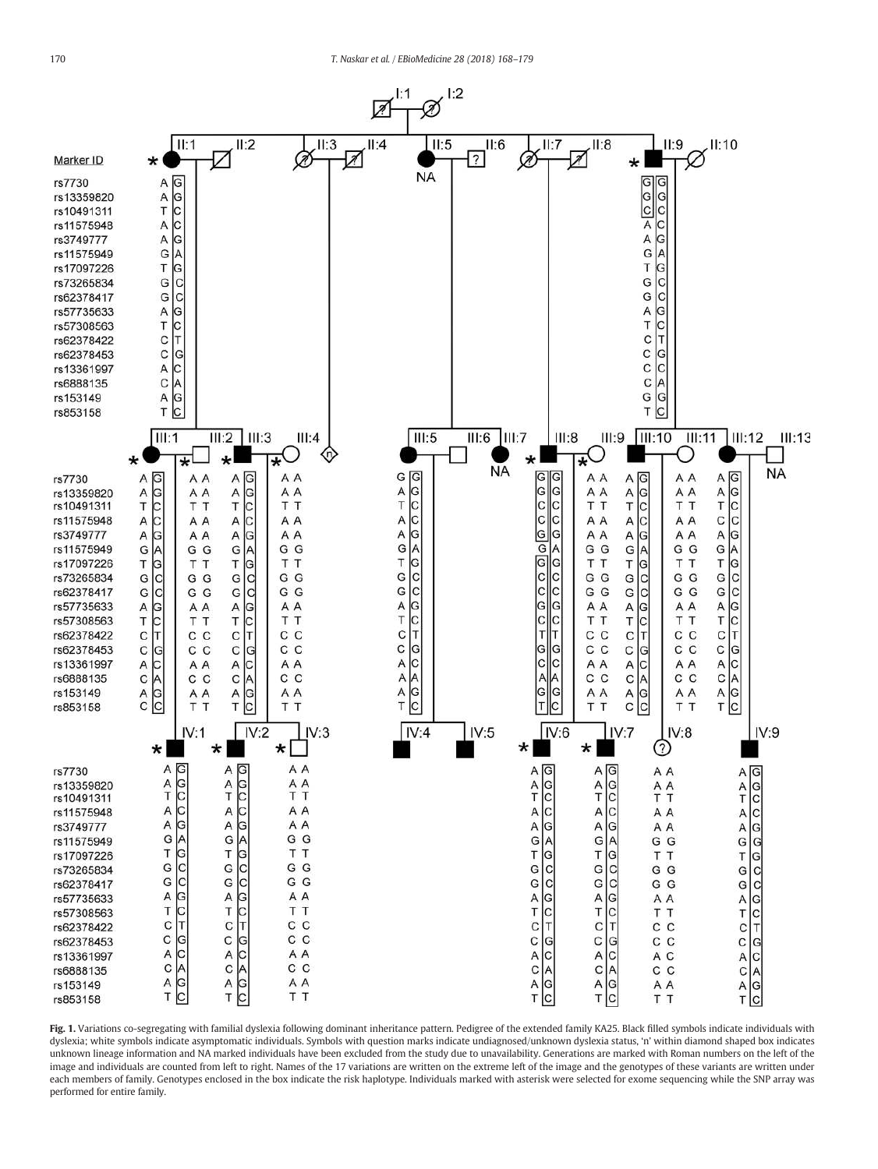

Fig. 1. Variations co-segregating with familial dyslexia following dominant inheritance pattern. Pedigree of the extended family KA25. Black filled symbols indicate individuals with dyslexia; white symbols indicate asymptomatic individuals. Symbols with question marks indicate undiagnosed/unknown dyslexia status, 'n' within diamond shaped box indicates unknown lineage information and NA marked individuals have been excluded from the study due to unavailability. Generations are marked with Roman numbers on the left of the image and individuals are counted from left to right. Names of the 17 variations are written on the extreme left of the image and the genotypes of these variants are written under each members of family. Genotypes enclosed in the box indicate the risk haplotype. Individuals marked with asterisk were selected for exome sequencing while the SNP array was performed for entire family.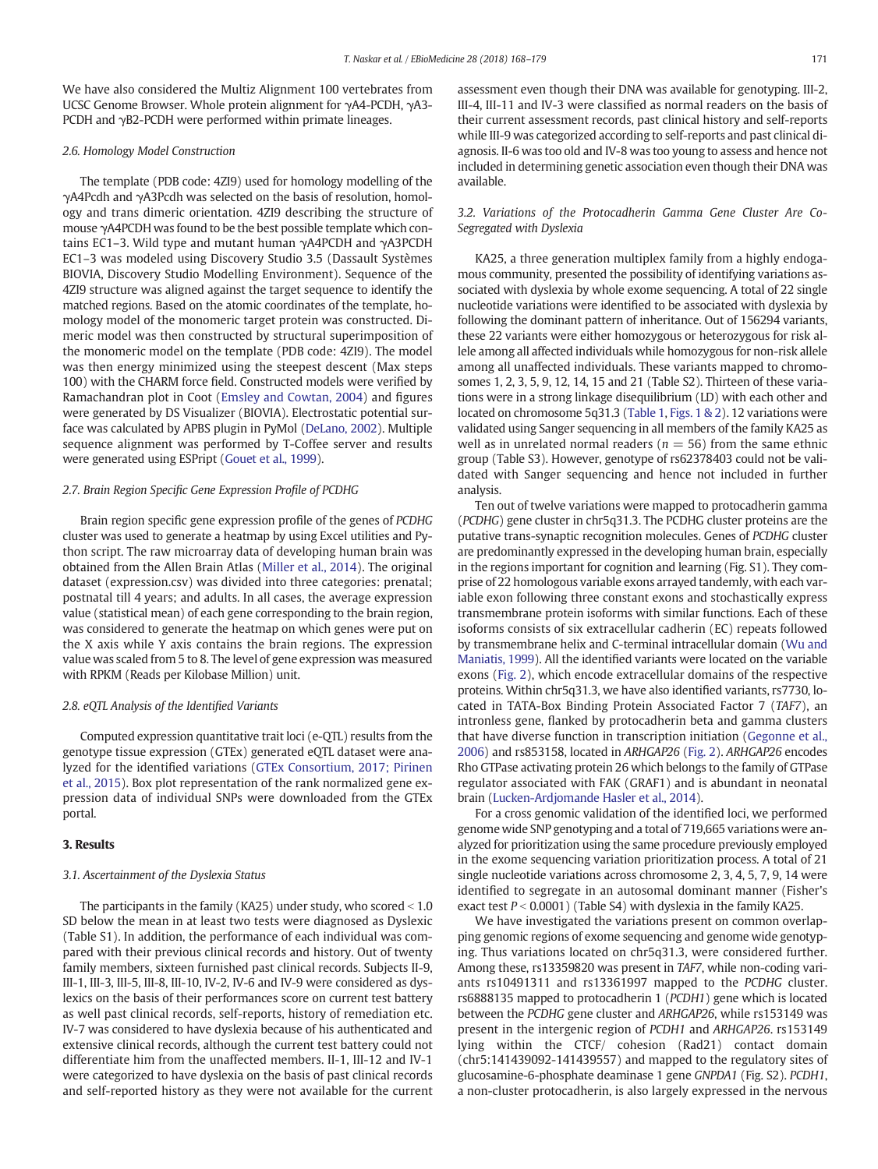We have also considered the Multiz Alignment 100 vertebrates from UCSC Genome Browser. Whole protein alignment for γA4-PCDH, γA3- PCDH and γB2-PCDH were performed within primate lineages.

## *2.6. Homology Model Construction*

The template (PDB code: 4ZI9) used for homology modelling of the γA4Pcdh and γA3Pcdh was selected on the basis of resolution, homology and trans dimeric orientation. 4ZI9 describing the structure of mouse γA4PCDH was found to be the best possible template which contains EC1–3. Wild type and mutant human γA4PCDH and γA3PCDH EC1–3 was modeled using Discovery Studio 3.5 (Dassault Systèmes BIOVIA, Discovery Studio Modelling Environment). Sequence of the 4ZI9 structure was aligned against the target sequence to identify the matched regions. Based on the atomic coordinates of the template, homology model of the monomeric target protein was constructed. Dimeric model was then constructed by structural superimposition of the monomeric model on the template (PDB code: 4ZI9). The model was then energy minimized using the steepest descent (Max steps 100) with the CHARM force field. Constructed models were verified by Ramachandran plot in Coot (Emsley and Cowtan, 2004) and figures were generated by DS Visualizer (BIOVIA). Electrostatic potential surface was calculated by APBS plugin in PyMol (DeLano, 2002). Multiple sequence alignment was performed by T-Coffee server and results were generated using ESPript (Gouet et al., 1999).

# *2.7. Brain Region Speci*fi*c Gene Expression Pro*fi*le of PCDHG*

Brain region specific gene expression profile of the genes of *PCDHG* cluster was used to generate a heatmap by using Excel utilities and Python script. The raw microarray data of developing human brain was obtained from the Allen Brain Atlas (Miller et al., 2014). The original dataset (expression.csv) was divided into three categories: prenatal; postnatal till 4 years; and adults. In all cases, the average expression value (statistical mean) of each gene corresponding to the brain region, was considered to generate the heatmap on which genes were put on the X axis while Y axis contains the brain regions. The expression value was scaled from 5 to 8. The level of gene expression was measured with RPKM (Reads per Kilobase Million) unit.

## 2.8. eQTL Analysis of the Identified Variants

Computed expression quantitative trait loci (e-QTL) results from the genotype tissue expression (GTEx) generated eQTL dataset were analyzed for the identified variations (GTEx Consortium, 2017; Pirinen et al., 2015). Box plot representation of the rank normalized gene expression data of individual SNPs were downloaded from the GTEx portal.

# 3. Results

# *3.1. Ascertainment of the Dyslexia Status*

The participants in the family (KA25) under study, who scored  $< 1.0$ SD below the mean in at least two tests were diagnosed as Dyslexic (Table S1). In addition, the performance of each individual was compared with their previous clinical records and history. Out of twenty family members, sixteen furnished past clinical records. Subjects II-9, III-1, III-3, III-5, III-8, III-10, IV-2, IV-6 and IV-9 were considered as dyslexics on the basis of their performances score on current test battery as well past clinical records, self-reports, history of remediation etc. IV-7 was considered to have dyslexia because of his authenticated and extensive clinical records, although the current test battery could not differentiate him from the unaffected members. II-1, III-12 and IV-1 were categorized to have dyslexia on the basis of past clinical records and self-reported history as they were not available for the current assessment even though their DNA was available for genotyping. III-2, III-4, III-11 and IV-3 were classified as normal readers on the basis of their current assessment records, past clinical history and self-reports while III-9 was categorized according to self-reports and past clinical diagnosis. II-6 was too old and IV-8 was too young to assess and hence not included in determining genetic association even though their DNA was available.

# *3.2. Variations of the Protocadherin Gamma Gene Cluster Are Co-Segregated with Dyslexia*

KA25, a three generation multiplex family from a highly endogamous community, presented the possibility of identifying variations associated with dyslexia by whole exome sequencing. A total of 22 single nucleotide variations were identified to be associated with dyslexia by following the dominant pattern of inheritance. Out of 156294 variants, these 22 variants were either homozygous or heterozygous for risk allele among all affected individuals while homozygous for non-risk allele among all unaffected individuals. These variants mapped to chromosomes 1, 2, 3, 5, 9, 12, 14, 15 and 21 (Table S2). Thirteen of these variations were in a strong linkage disequilibrium (LD) with each other and located on chromosome 5q31.3 (Table 1, Figs. 1 & 2). 12 variations were validated using Sanger sequencing in all members of the family KA25 as well as in unrelated normal readers ( $n = 56$ ) from the same ethnic group (Table S3). However, genotype of rs62378403 could not be validated with Sanger sequencing and hence not included in further analysis.

Ten out of twelve variations were mapped to protocadherin gamma (*PCDHG*) gene cluster in chr5q31.3. The PCDHG cluster proteins are the putative trans-synaptic recognition molecules. Genes of *PCDHG* cluster are predominantly expressed in the developing human brain, especially in the regions important for cognition and learning (Fig. S1). They comprise of 22 homologous variable exons arrayed tandemly, with each variable exon following three constant exons and stochastically express transmembrane protein isoforms with similar functions. Each of these isoforms consists of six extracellular cadherin (EC) repeats followed by transmembrane helix and C-terminal intracellular domain (Wu and Maniatis, 1999). All the identified variants were located on the variable exons (Fig. 2), which encode extracellular domains of the respective proteins. Within chr5q31.3, we have also identified variants, rs7730, located in TATA-Box Binding Protein Associated Factor 7 (*TAF7*), an intronless gene, flanked by protocadherin beta and gamma clusters that have diverse function in transcription initiation (Gegonne et al., 2006) and rs853158, located in *ARHGAP26* (Fig. 2). *ARHGAP26* encodes Rho GTPase activating protein 26 which belongs to the family of GTPase regulator associated with FAK (GRAF1) and is abundant in neonatal brain (Lucken-Ardjomande Hasler et al., 2014).

For a cross genomic validation of the identified loci, we performed genome wide SNP genotyping and a total of 719,665 variations were analyzed for prioritization using the same procedure previously employed in the exome sequencing variation prioritization process. A total of 21 single nucleotide variations across chromosome 2, 3, 4, 5, 7, 9, 14 were identified to segregate in an autosomal dominant manner (Fisher's exact test  $P < 0.0001$ ) (Table S4) with dyslexia in the family KA25.

We have investigated the variations present on common overlapping genomic regions of exome sequencing and genome wide genotyping. Thus variations located on chr5q31.3, were considered further. Among these, rs13359820 was present in *TAF7*, while non-coding variants rs10491311 and rs13361997 mapped to the *PCDHG* cluster. rs6888135 mapped to protocadherin 1 (*PCDH1*) gene which is located between the *PCDHG* gene cluster and *ARHGAP26*, while rs153149 was present in the intergenic region of *PCDH1* and *ARHGAP26*. rs153149 lying within the CTCF/ cohesion (Rad21) contact domain (chr5:141439092-141439557) and mapped to the regulatory sites of glucosamine-6-phosphate deaminase 1 gene *GNPDA1* (Fig. S2). *PCDH1*, a non-cluster protocadherin, is also largely expressed in the nervous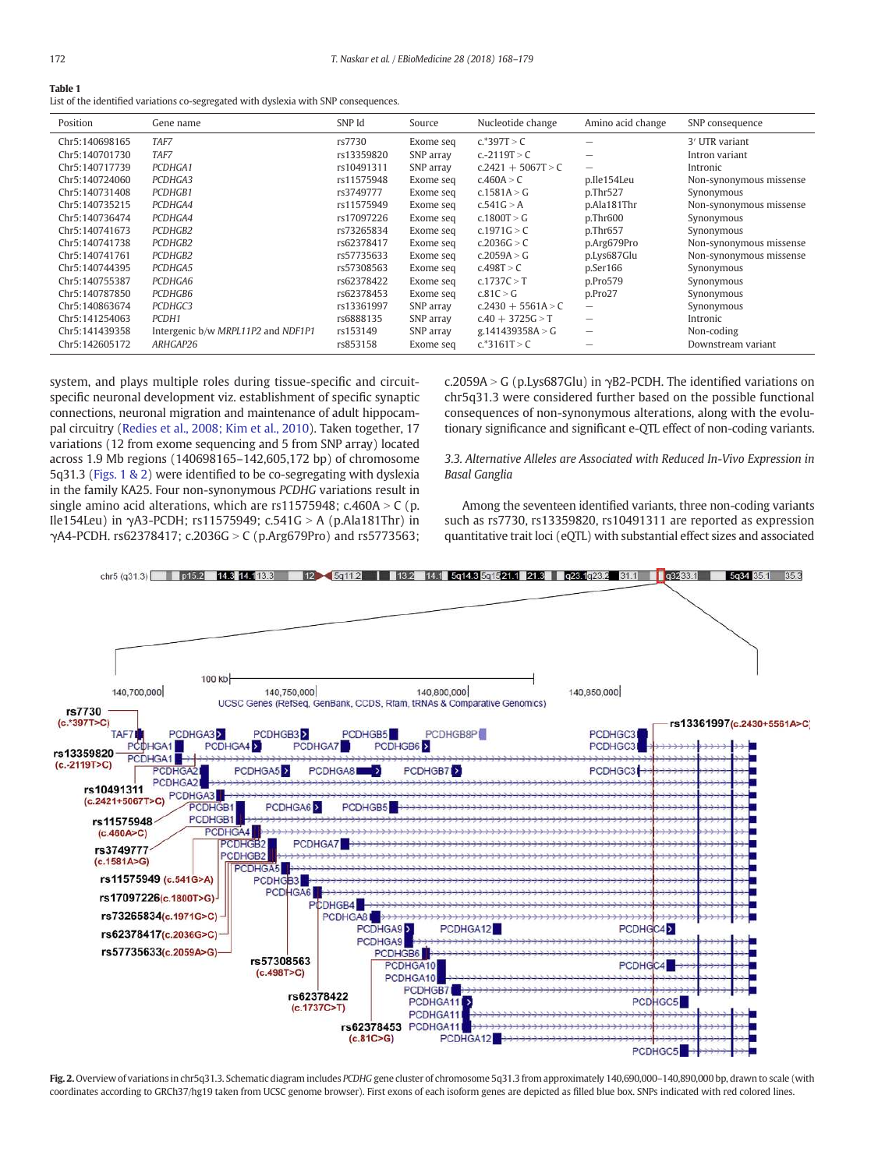| Table 1                                                                              |
|--------------------------------------------------------------------------------------|
| List of the identified variations co-segregated with dyslexia with SNP consequences. |

| Position       | Gene name                          | SNP Id     | Source    | Nucleotide change    | Amino acid change | SNP consequence            |
|----------------|------------------------------------|------------|-----------|----------------------|-------------------|----------------------------|
| Chr5:140698165 | TAF7                               | rs7730     | Exome seq | $c.*397T > C$        |                   | 3 <sup>'</sup> UTR variant |
| Chr5:140701730 | TAF7                               | rs13359820 | SNP array | c.-2119T > C         | -                 | Intron variant             |
| Chr5:140717739 | PCDHGA1                            | rs10491311 | SNP array | $c.2421 + 5067T > C$ |                   | Intronic                   |
| Chr5:140724060 | PCDHGA3                            | rs11575948 | Exome seq | c.460A > C           | p.Ile154Leu       | Non-synonymous missense    |
| Chr5:140731408 | PCDHGB1                            | rs3749777  | Exome seq | c.1581A > G          | p.Thr527          | Synonymous                 |
| Chr5:140735215 | PCDHGA4                            | rs11575949 | Exome seq | c.541G > A           | p.Ala181Thr       | Non-synonymous missense    |
| Chr5:140736474 | PCDHGA4                            | rs17097226 | Exome seq | c.1800T > G          | $p$ .Thr $600$    | Synonymous                 |
| Chr5:140741673 | PCDHGB2                            | rs73265834 | Exome seq | c.1971G > C          | p.Thr657          | Synonymous                 |
| Chr5:140741738 | PCDHGB2                            | rs62378417 | Exome seq | c.2036G > C          | p.Arg679Pro       | Non-synonymous missense    |
| Chr5:140741761 | PCDHGB2                            | rs57735633 | Exome seq | c.2059A > G          | p.Lys687Glu       | Non-synonymous missense    |
| Chr5:140744395 | PCDHGA5                            | rs57308563 | Exome seq | c.498T > C           | p.Serieser166     | Synonymous                 |
| Chr5:140755387 | PCDHGA6                            | rs62378422 | Exome seq | c.1737C > T          | p.Pro579          | Synonymous                 |
| Chr5:140787850 | PCDHGB6                            | rs62378453 | Exome seq | c.81C > G            | p.Pro27           | Synonymous                 |
| Chr5:140863674 | PCDHGC3                            | rs13361997 | SNP array | $c.2430 + 5561A > C$ | $\qquad \qquad$   | Synonymous                 |
| Chr5:141254063 | PCDH1                              | rs6888135  | SNP array | $c.40 + 3725G > T$   |                   | Intronic                   |
| Chr5:141439358 | Intergenic b/w MRPL11P2 and NDF1P1 | rs153149   | SNP array | g.141439358A > G     | -                 | Non-coding                 |
| Chr5:142605172 | ARHGAP26                           | rs853158   | Exome seq | c.*3161T > C         |                   | Downstream variant         |

system, and plays multiple roles during tissue-specific and circuitspecific neuronal development viz. establishment of specific synaptic connections, neuronal migration and maintenance of adult hippocampal circuitry (Redies et al., 2008; Kim et al., 2010). Taken together, 17 variations (12 from exome sequencing and 5 from SNP array) located across 1.9 Mb regions (140698165–142,605,172 bp) of chromosome 5q31.3 (Figs. 1 & 2) were identified to be co-segregating with dyslexia in the family KA25. Four non-synonymous *PCDHG* variations result in single amino acid alterations, which are rs11575948; c.460A  $>$  C (p. Ile154Leu) in  $\gamma$ A3-PCDH; rs11575949; c.541G > A (p.Ala181Thr) in γA4-PCDH. rs62378417; c.2036G > C (p.Arg679Pro) and rs5773563;

c.2059A > G (p.Lys687Glu) in γB2-PCDH. The identified variations on chr5q31.3 were considered further based on the possible functional consequences of non-synonymous alterations, along with the evolutionary significance and significant e-QTL effect of non-coding variants.

*3.3. Alternative Alleles are Associated with Reduced In-Vivo Expression in Basal Ganglia*

Among the seventeen identified variants, three non-coding variants such as rs7730, rs13359820, rs10491311 are reported as expression quantitative trait loci (eQTL) with substantial effect sizes and associated



Fig. 2. Overview of variations in chr5q31.3. Schematic diagram includes *PCDHG* gene cluster of chromosome 5q31.3 from approximately 140,690,000–140,890,000 bp, drawn to scale (with coordinates according to GRCh37/hg19 taken from UCSC genome browser). First exons of each isoform genes are depicted as filled blue box. SNPs indicated with red colored lines.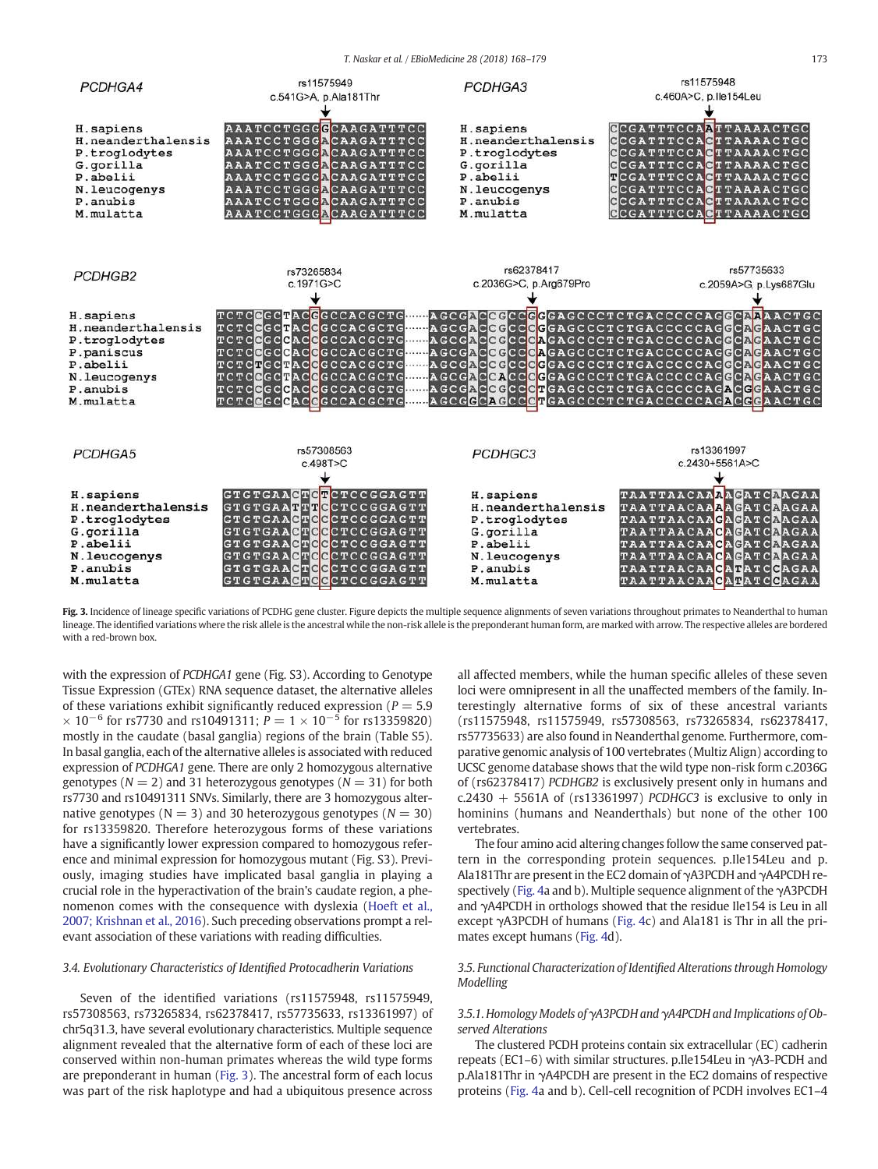*T. Naskar et al. / EBioMedicine 28 (2018) 168*–*179* 173



Fig. 3. Incidence of lineage specific variations of PCDHG gene cluster. Figure depicts the multiple sequence alignments of seven variations throughout primates to Neanderthal to human lineage. The identified variations where the risk allele is the ancestral while the non-risk allele is the preponderant human form, are marked with arrow. The respective alleles are bordered with a red-brown box.

with the expression of *PCDHGA1* gene (Fig. S3). According to Genotype Tissue Expression (GTEx) RNA sequence dataset, the alternative alleles of these variations exhibit significantly reduced expression ( $P = 5.9$ )  $\times$  10<sup>-6</sup> for rs7730 and rs10491311;  $P = 1 \times 10^{-5}$  for rs13359820) mostly in the caudate (basal ganglia) regions of the brain (Table S5). In basal ganglia, each of the alternative alleles is associated with reduced expression of *PCDHGA1* gene. There are only 2 homozygous alternative genotypes ( $N = 2$ ) and 31 heterozygous genotypes ( $N = 31$ ) for both rs7730 and rs10491311 SNVs. Similarly, there are 3 homozygous alternative genotypes ( $N = 3$ ) and 30 heterozygous genotypes ( $N = 30$ ) for rs13359820. Therefore heterozygous forms of these variations have a significantly lower expression compared to homozygous reference and minimal expression for homozygous mutant (Fig. S3). Previously, imaging studies have implicated basal ganglia in playing a crucial role in the hyperactivation of the brain's caudate region, a phenomenon comes with the consequence with dyslexia (Hoeft et al., 2007; Krishnan et al., 2016). Such preceding observations prompt a relevant association of these variations with reading difficulties.

# *3.4. Evolutionary Characteristics of Identi*fi*ed Protocadherin Variations*

Seven of the identified variations (rs11575948, rs11575949, rs57308563, rs73265834, rs62378417, rs57735633, rs13361997) of chr5q31.3, have several evolutionary characteristics. Multiple sequence alignment revealed that the alternative form of each of these loci are conserved within non-human primates whereas the wild type forms are preponderant in human (Fig. 3). The ancestral form of each locus was part of the risk haplotype and had a ubiquitous presence across

all affected members, while the human specific alleles of these seven loci were omnipresent in all the unaffected members of the family. Interestingly alternative forms of six of these ancestral variants (rs11575948, rs11575949, rs57308563, rs73265834, rs62378417, rs57735633) are also found in Neanderthal genome. Furthermore, comparative genomic analysis of 100 vertebrates (Multiz Align) according to UCSC genome database shows that the wild type non-risk form c.2036G of (rs62378417) *PCDHGB2* is exclusively present only in humans and c.2430 + 5561A of (rs13361997) *PCDHGC3* is exclusive to only in hominins (humans and Neanderthals) but none of the other 100 vertebrates.

The four amino acid altering changes follow the same conserved pattern in the corresponding protein sequences. p.Ile154Leu and p. Ala181Thr are present in the EC2 domain of γA3PCDH and γA4PCDH respectively (Fig. 4a and b). Multiple sequence alignment of the γA3PCDH and γA4PCDH in orthologs showed that the residue Ile154 is Leu in all except γA3PCDH of humans (Fig. 4c) and Ala181 is Thr in all the primates except humans (Fig. 4d).

# *3.5. Functional Characterization of Identi*fi*ed Alterations through Homology Modelling*

# *3.5.1. Homology Models of* γ*A3PCDH and* γ*A4PCDH and Implications of Observed Alterations*

The clustered PCDH proteins contain six extracellular (EC) cadherin repeats (EC1–6) with similar structures. p.Ile154Leu in γA3-PCDH and p.Ala181Thr in γA4PCDH are present in the EC2 domains of respective proteins (Fig. 4a and b). Cell-cell recognition of PCDH involves EC1–4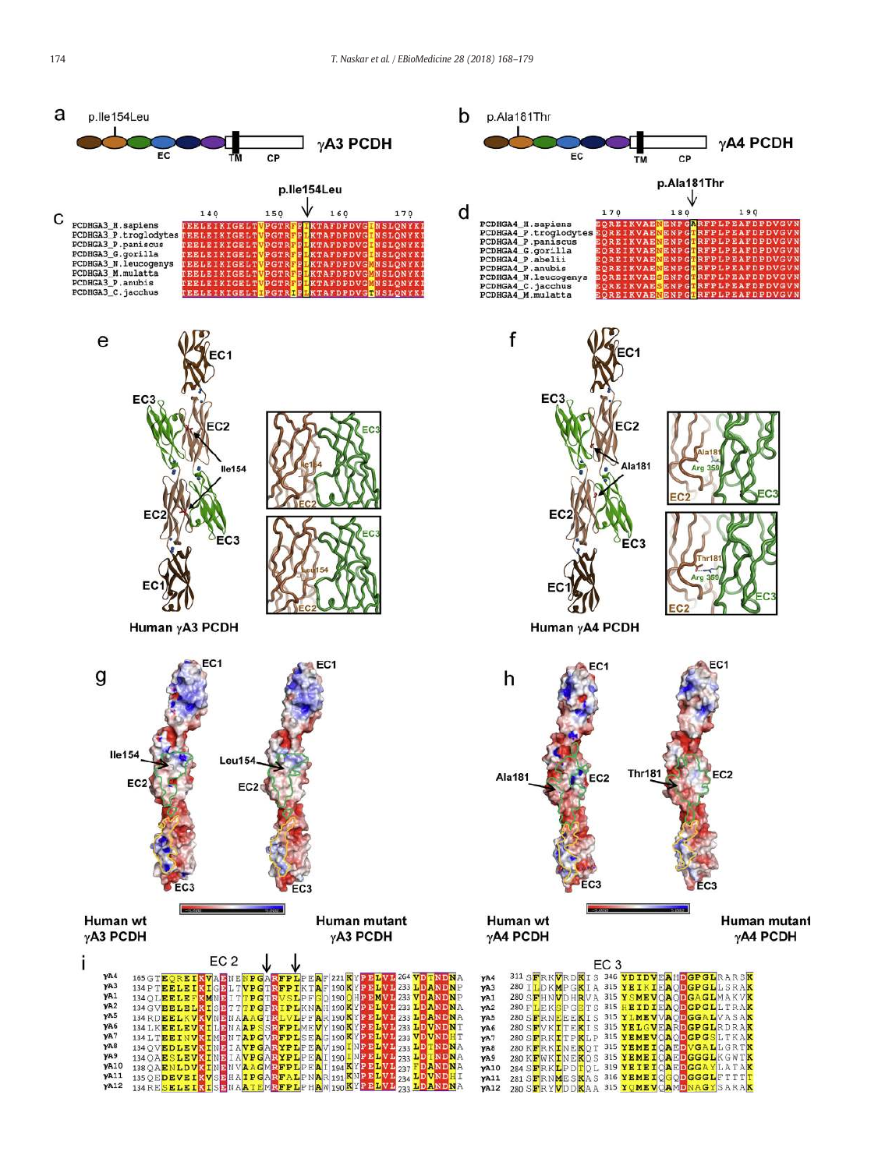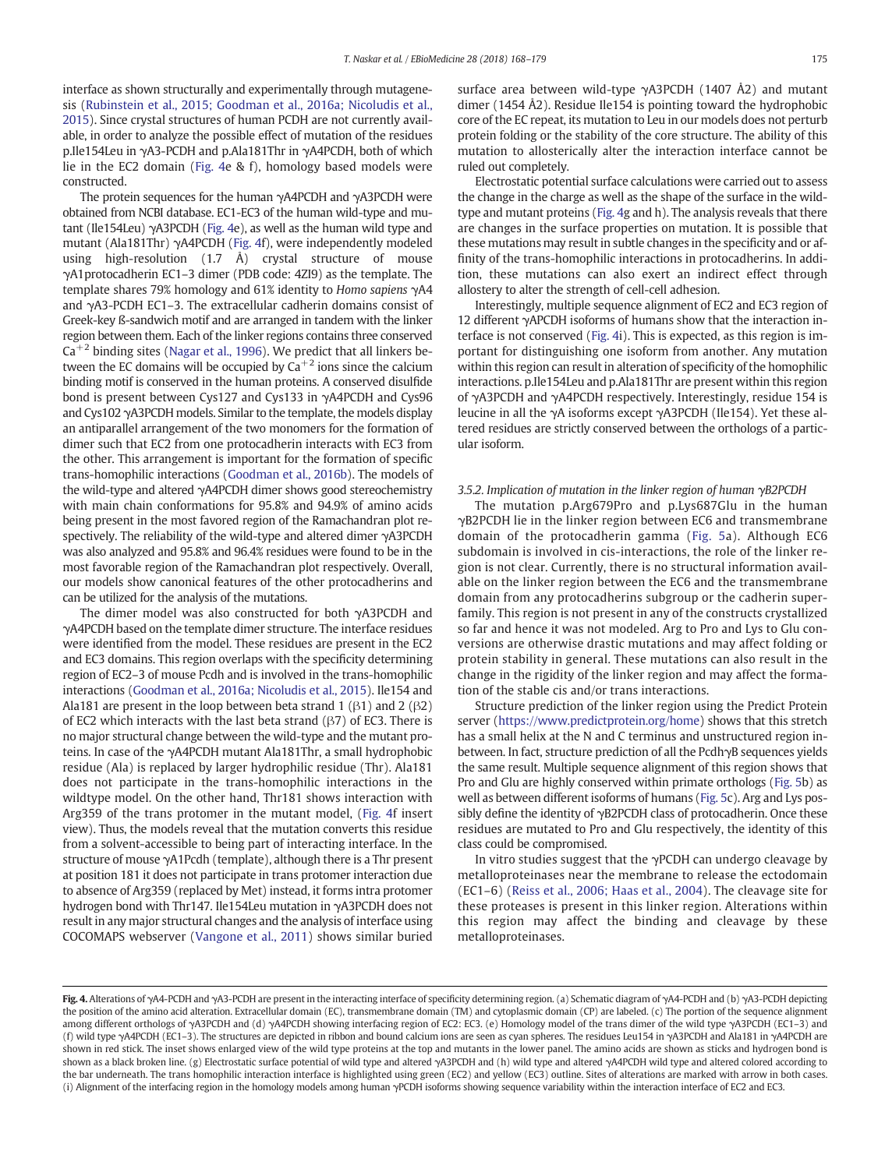interface as shown structurally and experimentally through mutagenesis (Rubinstein et al., 2015; Goodman et al., 2016a; Nicoludis et al., 2015). Since crystal structures of human PCDH are not currently available, in order to analyze the possible effect of mutation of the residues p.Ile154Leu in γA3-PCDH and p.Ala181Thr in γA4PCDH, both of which lie in the EC2 domain (Fig. 4e & f), homology based models were constructed.

The protein sequences for the human γA4PCDH and γA3PCDH were obtained from NCBI database. EC1-EC3 of the human wild-type and mutant (Ile154Leu) γA3PCDH (Fig. 4e), as well as the human wild type and mutant (Ala181Thr) γA4PCDH (Fig. 4f), were independently modeled using high-resolution (1.7 Å) crystal structure of mouse γA1protocadherin EC1–3 dimer (PDB code: 4ZI9) as the template. The template shares 79% homology and 61% identity to *Homo sapiens* γA4 and γA3-PCDH EC1–3. The extracellular cadherin domains consist of Greek-key ß-sandwich motif and are arranged in tandem with the linker region between them. Each of the linker regions contains three conserved  $Ca^{+2}$  binding sites (Nagar et al., 1996). We predict that all linkers between the EC domains will be occupied by  $Ca^{+2}$  ions since the calcium binding motif is conserved in the human proteins. A conserved disulfide bond is present between Cys127 and Cys133 in γA4PCDH and Cys96 and Cys102 γA3PCDH models. Similar to the template, the models display an antiparallel arrangement of the two monomers for the formation of dimer such that EC2 from one protocadherin interacts with EC3 from the other. This arrangement is important for the formation of specific trans-homophilic interactions (Goodman et al., 2016b). The models of the wild-type and altered γA4PCDH dimer shows good stereochemistry with main chain conformations for 95.8% and 94.9% of amino acids being present in the most favored region of the Ramachandran plot respectively. The reliability of the wild-type and altered dimer γA3PCDH was also analyzed and 95.8% and 96.4% residues were found to be in the most favorable region of the Ramachandran plot respectively. Overall, our models show canonical features of the other protocadherins and can be utilized for the analysis of the mutations.

The dimer model was also constructed for both γA3PCDH and γA4PCDH based on the template dimer structure. The interface residues were identified from the model. These residues are present in the EC2 and EC3 domains. This region overlaps with the specificity determining region of EC2–3 of mouse Pcdh and is involved in the trans-homophilic interactions (Goodman et al., 2016a; Nicoludis et al., 2015). Ile154 and Ala181 are present in the loop between beta strand 1 ( $\beta$ 1) and 2 ( $\beta$ 2) of EC2 which interacts with the last beta strand (β7) of EC3. There is no major structural change between the wild-type and the mutant proteins. In case of the γA4PCDH mutant Ala181Thr, a small hydrophobic residue (Ala) is replaced by larger hydrophilic residue (Thr). Ala181 does not participate in the trans-homophilic interactions in the wildtype model. On the other hand, Thr181 shows interaction with Arg359 of the trans protomer in the mutant model, (Fig. 4f insert view). Thus, the models reveal that the mutation converts this residue from a solvent-accessible to being part of interacting interface. In the structure of mouse γA1Pcdh (template), although there is a Thr present at position 181 it does not participate in trans protomer interaction due to absence of Arg359 (replaced by Met) instead, it forms intra protomer hydrogen bond with Thr147. Ile154Leu mutation in γA3PCDH does not result in any major structural changes and the analysis of interface using COCOMAPS webserver (Vangone et al., 2011) shows similar buried surface area between wild-type γA3PCDH (1407 Å2) and mutant dimer (1454 Å2). Residue Ile154 is pointing toward the hydrophobic core of the EC repeat, its mutation to Leu in our models does not perturb protein folding or the stability of the core structure. The ability of this mutation to allosterically alter the interaction interface cannot be ruled out completely.

Electrostatic potential surface calculations were carried out to assess the change in the charge as well as the shape of the surface in the wildtype and mutant proteins (Fig. 4g and h). The analysis reveals that there are changes in the surface properties on mutation. It is possible that these mutations may result in subtle changes in the specificity and or affinity of the trans-homophilic interactions in protocadherins. In addition, these mutations can also exert an indirect effect through allostery to alter the strength of cell-cell adhesion.

Interestingly, multiple sequence alignment of EC2 and EC3 region of 12 different γAPCDH isoforms of humans show that the interaction interface is not conserved (Fig. 4i). This is expected, as this region is important for distinguishing one isoform from another. Any mutation within this region can result in alteration of specificity of the homophilic interactions. p.Ile154Leu and p.Ala181Thr are present within this region of γA3PCDH and γA4PCDH respectively. Interestingly, residue 154 is leucine in all the γA isoforms except γA3PCDH (Ile154). Yet these altered residues are strictly conserved between the orthologs of a particular isoform.

#### *3.5.2. Implication of mutation in the linker region of human* γ*B2PCDH*

The mutation p.Arg679Pro and p.Lys687Glu in the human γB2PCDH lie in the linker region between EC6 and transmembrane domain of the protocadherin gamma (Fig. 5a). Although EC6 subdomain is involved in cis-interactions, the role of the linker region is not clear. Currently, there is no structural information available on the linker region between the EC6 and the transmembrane domain from any protocadherins subgroup or the cadherin superfamily. This region is not present in any of the constructs crystallized so far and hence it was not modeled. Arg to Pro and Lys to Glu conversions are otherwise drastic mutations and may affect folding or protein stability in general. These mutations can also result in the change in the rigidity of the linker region and may affect the formation of the stable cis and/or trans interactions.

Structure prediction of the linker region using the Predict Protein server (https://www.predictprotein.org/home) shows that this stretch has a small helix at the N and C terminus and unstructured region inbetween. In fact, structure prediction of all the PcdhγB sequences yields the same result. Multiple sequence alignment of this region shows that Pro and Glu are highly conserved within primate orthologs (Fig. 5b) as well as between different isoforms of humans (Fig. 5c). Arg and Lys possibly define the identity of γB2PCDH class of protocadherin. Once these residues are mutated to Pro and Glu respectively, the identity of this class could be compromised.

In vitro studies suggest that the γPCDH can undergo cleavage by metalloproteinases near the membrane to release the ectodomain (EC1–6) (Reiss et al., 2006; Haas et al., 2004). The cleavage site for these proteases is present in this linker region. Alterations within this region may affect the binding and cleavage by these metalloproteinases.

Fig. 4. Alterations of γA4-PCDH and γA3-PCDH are present in the interacting interface of specificity determining region. (a) Schematic diagram of γA4-PCDH and (b) γA3-PCDH depicting the position of the amino acid alteration. Extracellular domain (EC), transmembrane domain (TM) and cytoplasmic domain (CP) are labeled. (c) The portion of the sequence alignment among different orthologs of γA3PCDH and (d) γA4PCDH showing interfacing region of EC2: EC3. (e) Homology model of the trans dimer of the wild type γA3PCDH (EC1-3) and (f) wild type γA4PCDH (EC1–3). The structures are depicted in ribbon and bound calcium ions are seen as cyan spheres. The residues Leu154 in γA3PCDH and Ala181 in γA4PCDH are shown in red stick. The inset shows enlarged view of the wild type proteins at the top and mutants in the lower panel. The amino acids are shown as sticks and hydrogen bond is shown as a black broken line. (g) Electrostatic surface potential of wild type and altered γA3PCDH and (h) wild type and altered γA4PCDH wild type and altered colored according to the bar underneath. The trans homophilic interaction interface is highlighted using green (EC2) and yellow (EC3) outline. Sites of alterations are marked with arrow in both cases. (i) Alignment of the interfacing region in the homology models among human γPCDH isoforms showing sequence variability within the interaction interface of EC2 and EC3.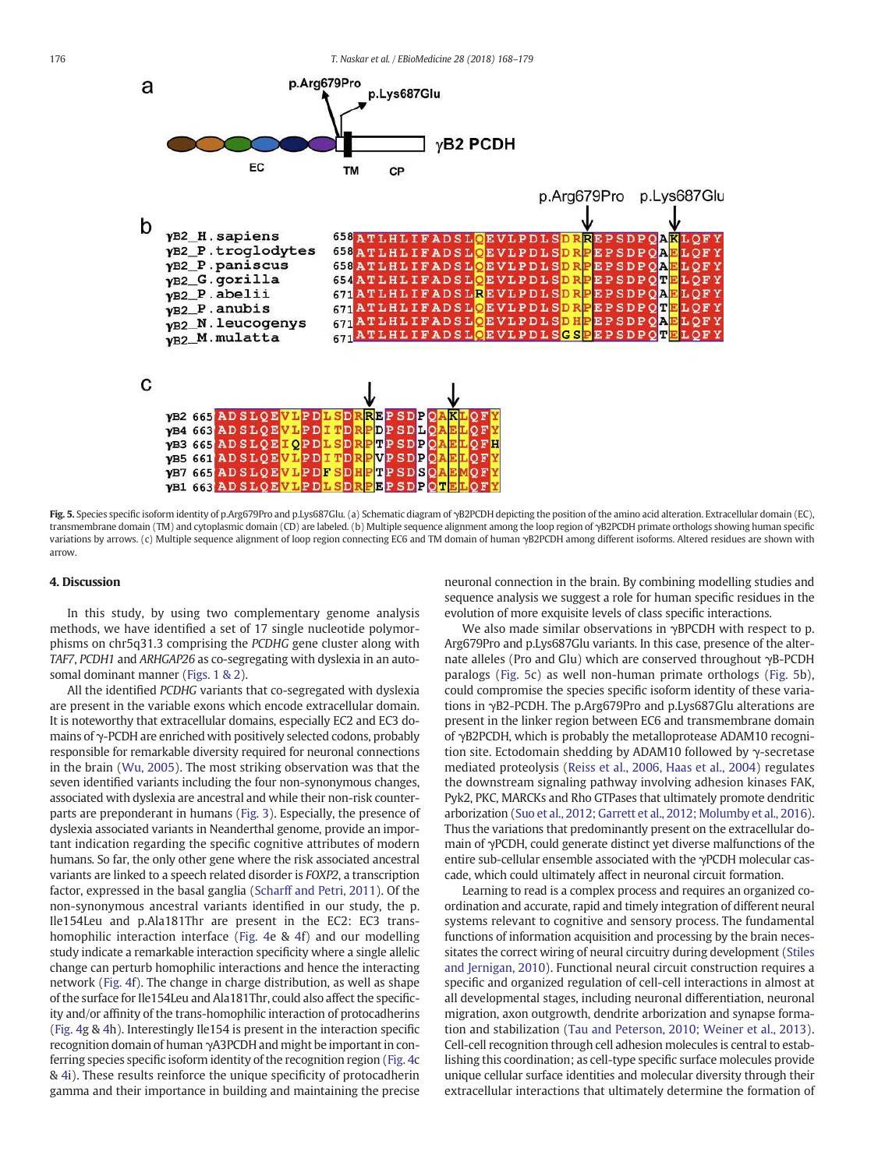

Fig. 5. Species specific isoform identity of p.Arg679Pro and p.Lys687Glu. (a) Schematic diagram of γB2PCDH depicting the position of the amino acid alteration. Extracellular domain (EC), transmembrane domain (TM) and cytoplasmic domain (CD) are labeled. (b) Multiple sequence alignment among the loop region of γB2PCDH primate orthologs showing human specific variations by arrows. (c) Multiple sequence alignment of loop region connecting EC6 and TM domain of human γB2PCDH among different isoforms. Altered residues are shown with arrow.

#### 4. Discussion

In this study, by using two complementary genome analysis methods, we have identified a set of 17 single nucleotide polymorphisms on chr5q31.3 comprising the *PCDHG* gene cluster along with *TAF7*, *PCDH1* and *ARHGAP26* as co-segregating with dyslexia in an autosomal dominant manner (Figs. 1 & 2).

All the identified *PCDHG* variants that co-segregated with dyslexia are present in the variable exons which encode extracellular domain. It is noteworthy that extracellular domains, especially EC2 and EC3 domains of γ-PCDH are enriched with positively selected codons, probably responsible for remarkable diversity required for neuronal connections in the brain (Wu, 2005). The most striking observation was that the seven identified variants including the four non-synonymous changes, associated with dyslexia are ancestral and while their non-risk counterparts are preponderant in humans (Fig. 3). Especially, the presence of dyslexia associated variants in Neanderthal genome, provide an important indication regarding the specific cognitive attributes of modern humans. So far, the only other gene where the risk associated ancestral variants are linked to a speech related disorder is *FOXP2*, a transcription factor, expressed in the basal ganglia (Scharff and Petri, 2011). Of the non-synonymous ancestral variants identified in our study, the p. Ile154Leu and p.Ala181Thr are present in the EC2: EC3 transhomophilic interaction interface (Fig. 4e & 4f) and our modelling study indicate a remarkable interaction specificity where a single allelic change can perturb homophilic interactions and hence the interacting network (Fig. 4f). The change in charge distribution, as well as shape of the surface for Ile154Leu and Ala181Thr, could also affect the specificity and/or affinity of the trans-homophilic interaction of protocadherins (Fig. 4g & 4h). Interestingly Ile154 is present in the interaction specific recognition domain of human γA3PCDH and might be important in conferring species specific isoform identity of the recognition region (Fig. 4c & 4i). These results reinforce the unique specificity of protocadherin gamma and their importance in building and maintaining the precise neuronal connection in the brain. By combining modelling studies and sequence analysis we suggest a role for human specific residues in the evolution of more exquisite levels of class specific interactions.

We also made similar observations in γBPCDH with respect to p. Arg679Pro and p.Lys687Glu variants. In this case, presence of the alternate alleles (Pro and Glu) which are conserved throughout γB-PCDH paralogs (Fig. 5c) as well non-human primate orthologs (Fig. 5b), could compromise the species specific isoform identity of these variations in γB2-PCDH. The p.Arg679Pro and p.Lys687Glu alterations are present in the linker region between EC6 and transmembrane domain of γB2PCDH, which is probably the metalloprotease ADAM10 recognition site. Ectodomain shedding by ADAM10 followed by γ-secretase mediated proteolysis (Reiss et al., 2006, Haas et al., 2004) regulates the downstream signaling pathway involving adhesion kinases FAK, Pyk2, PKC, MARCKs and Rho GTPases that ultimately promote dendritic arborization (Suo et al., 2012; Garrett et al., 2012; Molumby et al., 2016). Thus the variations that predominantly present on the extracellular domain of γPCDH, could generate distinct yet diverse malfunctions of the entire sub-cellular ensemble associated with the γPCDH molecular cascade, which could ultimately affect in neuronal circuit formation.

Learning to read is a complex process and requires an organized coordination and accurate, rapid and timely integration of different neural systems relevant to cognitive and sensory process. The fundamental functions of information acquisition and processing by the brain necessitates the correct wiring of neural circuitry during development (Stiles and Jernigan, 2010). Functional neural circuit construction requires a specific and organized regulation of cell-cell interactions in almost at all developmental stages, including neuronal differentiation, neuronal migration, axon outgrowth, dendrite arborization and synapse formation and stabilization (Tau and Peterson, 2010; Weiner et al., 2013). Cell-cell recognition through cell adhesion molecules is central to establishing this coordination; as cell-type specific surface molecules provide unique cellular surface identities and molecular diversity through their extracellular interactions that ultimately determine the formation of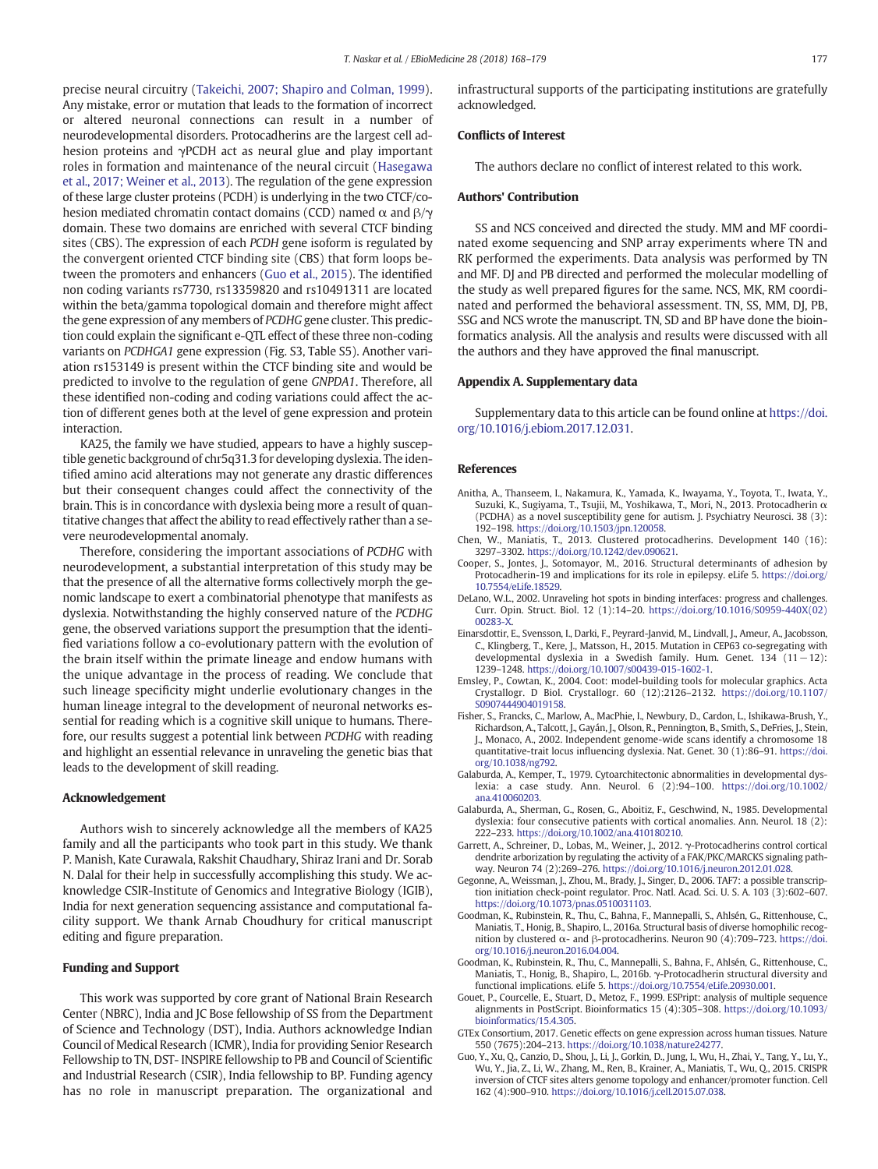precise neural circuitry (Takeichi, 2007; Shapiro and Colman, 1999). Any mistake, error or mutation that leads to the formation of incorrect or altered neuronal connections can result in a number of neurodevelopmental disorders. Protocadherins are the largest cell adhesion proteins and γPCDH act as neural glue and play important roles in formation and maintenance of the neural circuit (Hasegawa et al., 2017; Weiner et al., 2013). The regulation of the gene expression of these large cluster proteins (PCDH) is underlying in the two CTCF/cohesion mediated chromatin contact domains (CCD) named  $\alpha$  and  $\beta/\gamma$ domain. These two domains are enriched with several CTCF binding sites (CBS). The expression of each *PCDH* gene isoform is regulated by the convergent oriented CTCF binding site (CBS) that form loops between the promoters and enhancers (Guo et al., 2015). The identified non coding variants rs7730, rs13359820 and rs10491311 are located within the beta/gamma topological domain and therefore might affect the gene expression of any members of *PCDHG* gene cluster. This prediction could explain the significant e-QTL effect of these three non-coding variants on *PCDHGA1* gene expression (Fig. S3, Table S5). Another variation rs153149 is present within the CTCF binding site and would be predicted to involve to the regulation of gene *GNPDA1*. Therefore, all these identified non-coding and coding variations could affect the action of different genes both at the level of gene expression and protein interaction.

KA25, the family we have studied, appears to have a highly susceptible genetic background of chr5q31.3 for developing dyslexia. The identified amino acid alterations may not generate any drastic differences but their consequent changes could affect the connectivity of the brain. This is in concordance with dyslexia being more a result of quantitative changes that affect the ability to read effectively rather than a severe neurodevelopmental anomaly.

Therefore, considering the important associations of *PCDHG* with neurodevelopment, a substantial interpretation of this study may be that the presence of all the alternative forms collectively morph the genomic landscape to exert a combinatorial phenotype that manifests as dyslexia. Notwithstanding the highly conserved nature of the *PCDHG* gene, the observed variations support the presumption that the identified variations follow a co-evolutionary pattern with the evolution of the brain itself within the primate lineage and endow humans with the unique advantage in the process of reading. We conclude that such lineage specificity might underlie evolutionary changes in the human lineage integral to the development of neuronal networks essential for reading which is a cognitive skill unique to humans. Therefore, our results suggest a potential link between *PCDHG* with reading and highlight an essential relevance in unraveling the genetic bias that leads to the development of skill reading.

#### Acknowledgement

Authors wish to sincerely acknowledge all the members of KA25 family and all the participants who took part in this study. We thank P. Manish, Kate Curawala, Rakshit Chaudhary, Shiraz Irani and Dr. Sorab N. Dalal for their help in successfully accomplishing this study. We acknowledge CSIR-Institute of Genomics and Integrative Biology (IGIB), India for next generation sequencing assistance and computational facility support. We thank Arnab Choudhury for critical manuscript editing and figure preparation.

#### Funding and Support

This work was supported by core grant of National Brain Research Center (NBRC), India and JC Bose fellowship of SS from the Department of Science and Technology (DST), India. Authors acknowledge Indian Council of Medical Research (ICMR), India for providing Senior Research Fellowship to TN, DST- INSPIRE fellowship to PB and Council of Scientific and Industrial Research (CSIR), India fellowship to BP. Funding agency has no role in manuscript preparation. The organizational and

infrastructural supports of the participating institutions are gratefully acknowledged.

#### Conflicts of Interest

The authors declare no conflict of interest related to this work.

# Authors' Contribution

SS and NCS conceived and directed the study. MM and MF coordinated exome sequencing and SNP array experiments where TN and RK performed the experiments. Data analysis was performed by TN and MF. DJ and PB directed and performed the molecular modelling of the study as well prepared figures for the same. NCS, MK, RM coordinated and performed the behavioral assessment. TN, SS, MM, DJ, PB, SSG and NCS wrote the manuscript. TN, SD and BP have done the bioinformatics analysis. All the analysis and results were discussed with all the authors and they have approved the final manuscript.

#### Appendix A. Supplementary data

Supplementary data to this article can be found online at https://doi. org/10.1016/j.ebiom.2017.12.031.

#### References

- Anitha, A., Thanseem, I., Nakamura, K., Yamada, K., Iwayama, Y., Toyota, T., Iwata, Y., Suzuki, K., Sugiyama, T., Tsujii, M., Yoshikawa, T., Mori, N., 2013. Protocadherin α (PCDHA) as a novel susceptibility gene for autism. J. Psychiatry Neurosci. 38 (3): 192–198. https://doi.org/10.1503/jpn.120058.
- Chen, W., Maniatis, T., 2013. Clustered protocadherins. Development 140 (16): 3297–3302. https://doi.org/10.1242/dev.090621.
- Cooper, S., Jontes, J., Sotomayor, M., 2016. Structural determinants of adhesion by Protocadherin-19 and implications for its role in epilepsy. eLife 5. https://doi.org 10.7554/eLife.18529.
- DeLano, W.L., 2002. Unraveling hot spots in binding interfaces: progress and challenges. Curr. Opin. Struct. Biol. 12 (1):14–20. https://doi.org/10.1016/S0959-440X(02) 00283-X.
- Einarsdottir, E., Svensson, I., Darki, F., Peyrard-Janvid, M., Lindvall, J., Ameur, A., Jacobsson, C., Klingberg, T., Kere, J., Matsson, H., 2015. Mutation in CEP63 co-segregating with developmental dyslexia in a Swedish family. Hum. Genet. 134 (11−12): 1239–1248. https://doi.org/10.1007/s00439-015-1602-1.
- Emsley, P., Cowtan, K., 2004. Coot: model-building tools for molecular graphics. Acta Crystallogr. D Biol. Crystallogr. 60 (12):2126–2132. https://doi.org/10.1107/ S0907444904019158.
- Fisher, S., Francks, C., Marlow, A., MacPhie, I., Newbury, D., Cardon, L., Ishikawa-Brush, Y., Richardson, A., Talcott, J., Gayán, J., Olson, R., Pennington, B., Smith, S., DeFries, J., Stein, J., Monaco, A., 2002. Independent genome-wide scans identify a chromosome 18 quantitative-trait locus influencing dyslexia. Nat. Genet. 30 (1):86–91. https://doi. org/10.1038/ng792.
- Galaburda, A., Kemper, T., 1979. Cytoarchitectonic abnormalities in developmental dyslexia: a case study. Ann. Neurol. 6 (2):94–100. https://doi.org/10.1002/ ana.410060203.
- Galaburda, A., Sherman, G., Rosen, G., Aboitiz, F., Geschwind, N., 1985. Developmental dyslexia: four consecutive patients with cortical anomalies. Ann. Neurol. 18 (2): 222–233. https://doi.org/10.1002/ana.410180210.
- Garrett, A., Schreiner, D., Lobas, M., Weiner, J., 2012. γ-Protocadherins control cortical dendrite arborization by regulating the activity of a FAK/PKC/MARCKS signaling pathway. Neuron 74 (2):269–276. https://doi.org/10.1016/j.neuron.2012.01.028.
- Gegonne, A., Weissman, J., Zhou, M., Brady, J., Singer, D., 2006. TAF7: a possible transcription initiation check-point regulator. Proc. Natl. Acad. Sci. U. S. A. 103 (3):602–607. https://doi.org/10.1073/pnas.0510031103.
- Goodman, K., Rubinstein, R., Thu, C., Bahna, F., Mannepalli, S., Ahlsén, G., Rittenhouse, C., Maniatis, T., Honig, B., Shapiro, L., 2016a. Structural basis of diverse homophilic recognition by clustered α- and β-protocadherins. Neuron 90 (4):709–723. https://doi. org/10.1016/j.neuron.2016.04.004.
- Goodman, K., Rubinstein, R., Thu, C., Mannepalli, S., Bahna, F., Ahlsén, G., Rittenhouse, C., Maniatis, T., Honig, B., Shapiro, L., 2016b. γ-Protocadherin structural diversity and functional implications. eLife 5. https://doi.org/10.7554/eLife.20930.001.
- Gouet, P., Courcelle, E., Stuart, D., Metoz, F., 1999. ESPript: analysis of multiple sequence alignments in PostScript. Bioinformatics 15 (4):305–308. https://doi.org/10.1093/ bioinformatics/15.4.305.
- GTEx Consortium, 2017. Genetic effects on gene expression across human tissues. Nature 550 (7675):204–213. https://doi.org/10.1038/nature24277.
- Guo, Y., Xu, Q., Canzio, D., Shou, J., Li, J., Gorkin, D., Jung, I., Wu, H., Zhai, Y., Tang, Y., Lu, Y., Wu, Y., Jia, Z., Li, W., Zhang, M., Ren, B., Krainer, A., Maniatis, T., Wu, Q., 2015. CRISPR inversion of CTCF sites alters genome topology and enhancer/promoter function. Cell 162 (4):900–910. https://doi.org/10.1016/j.cell.2015.07.038.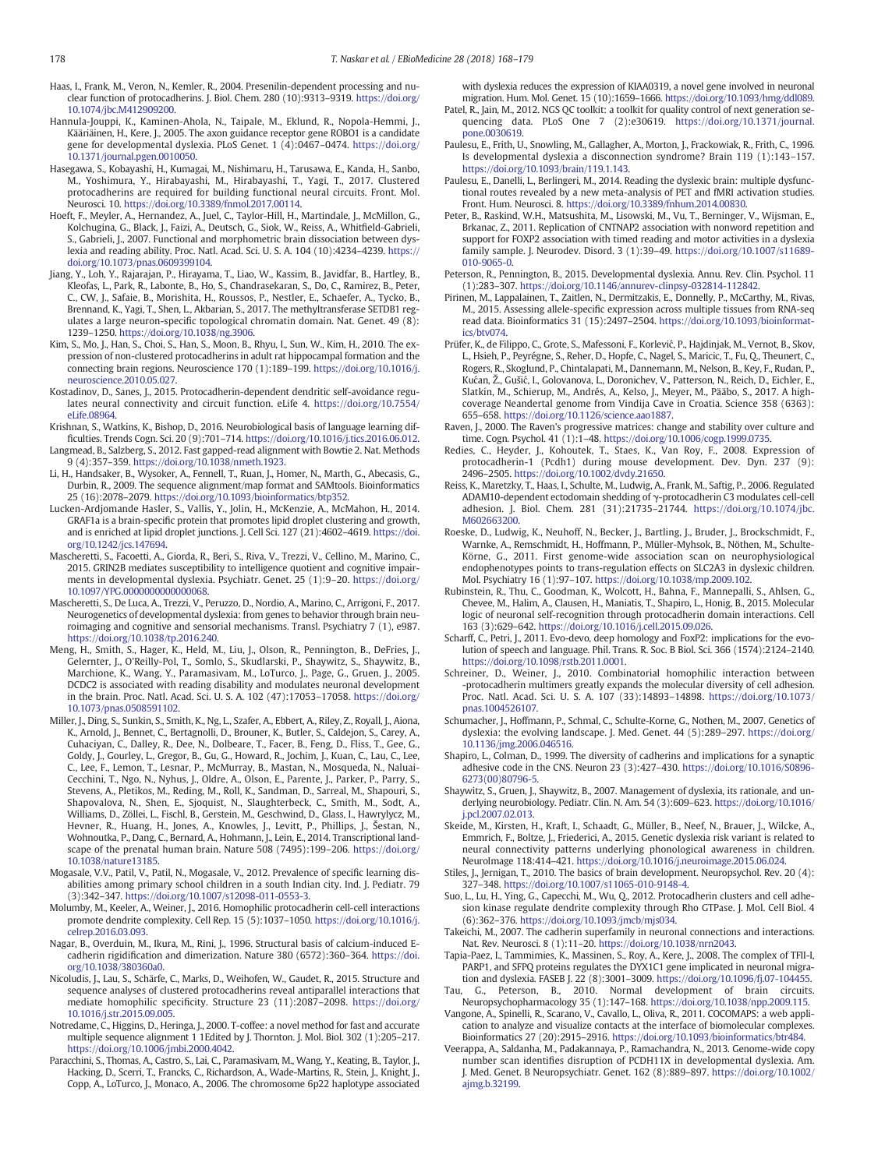- Haas, I., Frank, M., Veron, N., Kemler, R., 2004. Presenilin-dependent processing and nuclear function of protocadherins. J. Biol. Chem. 280 (10):9313–9319. https://doi.org/ 10.1074/jbc.M412909200.
- Hannula-Jouppi, K., Kaminen-Ahola, N., Taipale, M., Eklund, R., Nopola-Hemmi, J., Kääriäinen, H., Kere, J., 2005. The axon guidance receptor gene ROBO1 is a candidate gene for developmental dyslexia. PLoS Genet. 1 (4):0467–0474. https://doi.org/ 10.1371/journal.pgen.0010050.
- Hasegawa, S., Kobayashi, H., Kumagai, M., Nishimaru, H., Tarusawa, E., Kanda, H., Sanbo, M., Yoshimura, Y., Hirabayashi, M., Hirabayashi, T., Yagi, T., 2017. Clustered protocadherins are required for building functional neural circuits. Front. Mol. Neurosci. 10. https://doi.org/10.3389/fnmol.2017.00114.
- Hoeft, F., Meyler, A., Hernandez, A., Juel, C., Taylor-Hill, H., Martindale, J., McMillon, G., Kolchugina, G., Black, J., Faizi, A., Deutsch, G., Siok, W., Reiss, A., Whitfield-Gabrieli, S., Gabrieli, J., 2007. Functional and morphometric brain dissociation between dyslexia and reading ability. Proc. Natl. Acad. Sci. U. S. A. 104 (10):4234–4239. https:// doi.org/10.1073/pnas.0609399104.
- Jiang, Y., Loh, Y., Rajarajan, P., Hirayama, T., Liao, W., Kassim, B., Javidfar, B., Hartley, B., Kleofas, L., Park, R., Labonte, B., Ho, S., Chandrasekaran, S., Do, C., Ramirez, B., Peter, C., CW, J., Safaie, B., Morishita, H., Roussos, P., Nestler, E., Schaefer, A., Tycko, B., Brennand, K., Yagi, T., Shen, L., Akbarian, S., 2017. The methyltransferase SETDB1 regulates a large neuron-specific topological chromatin domain. Nat. Genet. 49 (8): 1239–1250. https://doi.org/10.1038/ng.3906.
- Kim, S., Mo, J., Han, S., Choi, S., Han, S., Moon, B., Rhyu, I., Sun, W., Kim, H., 2010. The expression of non-clustered protocadherins in adult rat hippocampal formation and the connecting brain regions. Neuroscience 170 (1):189–199. https://doi.org/10.1016/j. neuroscience.2010.05.027.
- Kostadinov, D., Sanes, J., 2015. Protocadherin-dependent dendritic self-avoidance regulates neural connectivity and circuit function. eLife 4. https://doi.org/10.7554/ eLife.08964.
- Krishnan, S., Watkins, K., Bishop, D., 2016. Neurobiological basis of language learning difficulties. Trends Cogn. Sci. 20 (9):701–714. https://doi.org/10.1016/j.tics.2016.06.012.
- Langmead, B., Salzberg, S., 2012. Fast gapped-read alignment with Bowtie 2. Nat. Methods 9 (4):357–359. https://doi.org/10.1038/nmeth.1923.
- Li, H., Handsaker, B., Wysoker, A., Fennell, T., Ruan, J., Homer, N., Marth, G., Abecasis, G., Durbin, R., 2009. The sequence alignment/map format and SAMtools. Bioinformatics 25 (16):2078–2079. https://doi.org/10.1093/bioinformatics/btp352.
- Lucken-Ardjomande Hasler, S., Vallis, Y., Jolin, H., McKenzie, A., McMahon, H., 2014. GRAF1a is a brain-specific protein that promotes lipid droplet clustering and growth, and is enriched at lipid droplet junctions. J. Cell Sci. 127 (21):4602–4619. https://doi. org/10.1242/jcs.147694.
- Mascheretti, S., Facoetti, A., Giorda, R., Beri, S., Riva, V., Trezzi, V., Cellino, M., Marino, C., 2015. GRIN2B mediates susceptibility to intelligence quotient and cognitive impairments in developmental dyslexia. Psychiatr. Genet. 25 (1):9–20. https://doi.org/ 10.1097/YPG.0000000000000068.
- Mascheretti, S., De Luca, A., Trezzi, V., Peruzzo, D., Nordio, A., Marino, C., Arrigoni, F., 2017. Neurogenetics of developmental dyslexia: from genes to behavior through brain neuroimaging and cognitive and sensorial mechanisms. Transl. Psychiatry 7 (1), e987. https://doi.org/10.1038/tp.2016.240.
- Meng, H., Smith, S., Hager, K., Held, M., Liu, J., Olson, R., Pennington, B., DeFries, J., Gelernter, J., O'Reilly-Pol, T., Somlo, S., Skudlarski, P., Shaywitz, S., Shaywitz, B., Marchione, K., Wang, Y., Paramasivam, M., LoTurco, J., Page, G., Gruen, J., 2005. DCDC2 is associated with reading disability and modulates neuronal development in the brain. Proc. Natl. Acad. Sci. U. S. A. 102 (47):17053–17058. https://doi.org/ 10.1073/pnas.0508591102.
- Miller, J., Ding, S., Sunkin, S., Smith, K., Ng, L., Szafer, A., Ebbert, A., Riley, Z., Royall, J., Aiona, K., Arnold, J., Bennet, C., Bertagnolli, D., Brouner, K., Butler, S., Caldejon, S., Carey, A., Cuhaciyan, C., Dalley, R., Dee, N., Dolbeare, T., Facer, B., Feng, D., Fliss, T., Gee, G., Goldy, J., Gourley, L., Gregor, B., Gu, G., Howard, R., Jochim, J., Kuan, C., Lau, C., Lee, C., Lee, F., Lemon, T., Lesnar, P., McMurray, B., Mastan, N., Mosqueda, N., Naluai-Cecchini, T., Ngo, N., Nyhus, J., Oldre, A., Olson, E., Parente, J., Parker, P., Parry, S., Stevens, A., Pletikos, M., Reding, M., Roll, K., Sandman, D., Sarreal, M., Shapouri, S., Shapovalova, N., Shen, E., Sjoquist, N., Slaughterbeck, C., Smith, M., Sodt, A., Williams, D., Zöllei, L., Fischl, B., Gerstein, M., Geschwind, D., Glass, I., Hawrylycz, M., Hevner, R., Huang, H., Jones, A., Knowles, J., Levitt, P., Phillips, J., Šestan, N., Wohnoutka, P., Dang, C., Bernard, A., Hohmann, J., Lein, E., 2014. Transcriptional landscape of the prenatal human brain. Nature 508 (7495):199–206. https://doi.org/ 10.1038/nature13185.
- Mogasale, V.V., Patil, V., Patil, N., Mogasale, V., 2012. Prevalence of specific learning disabilities among primary school children in a south Indian city. Ind. J. Pediatr. 79 (3):342–347. https://doi.org/10.1007/s12098-011-0553-3.
- Molumby, M., Keeler, A., Weiner, J., 2016. Homophilic protocadherin cell-cell interactions promote dendrite complexity. Cell Rep. 15 (5):1037–1050. https://doi.org/10.1016/j. celrep.2016.03.093.
- Nagar, B., Overduin, M., Ikura, M., Rini, J., 1996. Structural basis of calcium-induced Ecadherin rigidification and dimerization. Nature 380 (6572):360–364. https://doi. org/10.1038/380360a0.
- Nicoludis, J., Lau, S., Schärfe, C., Marks, D., Weihofen, W., Gaudet, R., 2015. Structure and sequence analyses of clustered protocadherins reveal antiparallel interactions that mediate homophilic specificity. Structure 23 (11):2087–2098. https://doi.org/ 10.1016/j.str.2015.09.005.
- Notredame, C., Higgins, D., Heringa, J., 2000. T-coffee: a novel method for fast and accurate multiple sequence alignment 1 1Edited by J. Thornton. J. Mol. Biol. 302 (1):205–217. https://doi.org/10.1006/jmbi.2000.4042.
- Paracchini, S., Thomas, A., Castro, S., Lai, C., Paramasivam, M., Wang, Y., Keating, B., Taylor, J., Hacking, D., Scerri, T., Francks, C., Richardson, A., Wade-Martins, R., Stein, J., Knight, J., Copp, A., LoTurco, J., Monaco, A., 2006. The chromosome 6p22 haplotype associated

with dyslexia reduces the expression of KIAA0319, a novel gene involved in neuronal migration. Hum. Mol. Genet. 15 (10):1659–1666. https://doi.org/10.1093/hmg/ddl089.

- Patel, R., Jain, M., 2012. NGS QC toolkit: a toolkit for quality control of next generation sequencing data. PLoS One 7 (2):e30619. https://doi.org/10.1371/journal. pone.0030619.
- Paulesu, E., Frith, U., Snowling, M., Gallagher, A., Morton, J., Frackowiak, R., Frith, C., 1996. Is developmental dyslexia a disconnection syndrome? Brain 119 (1):143–157. https://doi.org/10.1093/brain/119.1.143.
- Paulesu, E., Danelli, L., Berlingeri, M., 2014. Reading the dyslexic brain: multiple dysfunctional routes revealed by a new meta-analysis of PET and fMRI activation studies. Front. Hum. Neurosci. 8. https://doi.org/10.3389/fnhum.2014.00830.
- Peter, B., Raskind, W.H., Matsushita, M., Lisowski, M., Vu, T., Berninger, V., Wijsman, E., Brkanac, Z., 2011. Replication of CNTNAP2 association with nonword repetition and support for FOXP2 association with timed reading and motor activities in a dyslexia family sample. J. Neurodev. Disord. 3 (1):39–49. https://doi.org/10.1007/s11689- 010-9065-0.
- Peterson, R., Pennington, B., 2015. Developmental dyslexia. Annu. Rev. Clin. Psychol. 11 (1):283–307. https://doi.org/10.1146/annurev-clinpsy-032814-112842.
- Pirinen, M., Lappalainen, T., Zaitlen, N., Dermitzakis, E., Donnelly, P., McCarthy, M., Rivas, M., 2015. Assessing allele-specific expression across multiple tissues from RNA-seq read data. Bioinformatics 31 (15):2497–2504. https://doi.org/10.1093/bioinformatics/btv074.
- Prüfer, K., de Filippo, C., Grote, S., Mafessoni, F., Korlević, P., Hajdinjak, M., Vernot, B., Skov, L., Hsieh, P., Peyrégne, S., Reher, D., Hopfe, C., Nagel, S., Maricic, T., Fu, Q., Theunert, C., Rogers, R., Skoglund, P., Chintalapati, M., Dannemann, M., Nelson, B., Key, F., Rudan, P., Kućan, Ž., Gušić, I., Golovanova, L., Doronichev, V., Patterson, N., Reich, D., Eichler, E., Slatkin, M., Schierup, M., Andrés, A., Kelso, J., Meyer, M., Pääbo, S., 2017. A highcoverage Neandertal genome from Vindija Cave in Croatia. Science 358 (6363): 655–658. https://doi.org/10.1126/science.aao1887.
- Raven, J., 2000. The Raven's progressive matrices: change and stability over culture and time. Cogn. Psychol. 41 (1):1–48. https://doi.org/10.1006/cogp.1999.0735.
- Redies, C., Heyder, J., Kohoutek, T., Staes, K., Van Roy, F., 2008. Expression of protocadherin-1 (Pcdh1) during mouse development. Dev. Dyn. 237 (9): 2496–2505. https://doi.org/10.1002/dvdy.21650.
- Reiss, K., Maretzky, T., Haas, I., Schulte, M., Ludwig, A., Frank, M., Saftig, P., 2006. Regulated ADAM10-dependent ectodomain shedding of γ-protocadherin C3 modulates cell-cell adhesion. J. Biol. Chem. 281 (31):21735–21744. https://doi.org/10.1074/jbc. M602663200.
- Roeske, D., Ludwig, K., Neuhoff, N., Becker, J., Bartling, J., Bruder, J., Brockschmidt, F., Warnke, A., Remschmidt, H., Hoffmann, P., Müller-Myhsok, B., Nöthen, M., Schulte-Körne, G., 2011. First genome-wide association scan on neurophysiological endophenotypes points to trans-regulation effects on SLC2A3 in dyslexic children. Mol. Psychiatry 16 (1):97–107. https://doi.org/10.1038/mp.2009.102.
- Rubinstein, R., Thu, C., Goodman, K., Wolcott, H., Bahna, F., Mannepalli, S., Ahlsen, G., Chevee, M., Halim, A., Clausen, H., Maniatis, T., Shapiro, L., Honig, B., 2015. Molecular logic of neuronal self-recognition through protocadherin domain interactions. Cell 163 (3):629–642. https://doi.org/10.1016/j.cell.2015.09.026.
- Scharff, C., Petri, J., 2011. Evo-devo, deep homology and FoxP2: implications for the evolution of speech and language. Phil. Trans. R. Soc. B Biol. Sci. 366 (1574):2124–2140. https://doi.org/10.1098/rstb.2011.0001.
- Schreiner, D., Weiner, J., 2010. Combinatorial homophilic interaction between -protocadherin multimers greatly expands the molecular diversity of cell adhesion. Proc. Natl. Acad. Sci. U. S. A. 107 (33):14893–14898. https://doi.org/10.1073/ pnas.1004526107.
- Schumacher, J., Hoffmann, P., Schmal, C., Schulte-Korne, G., Nothen, M., 2007. Genetics of dyslexia: the evolving landscape. J. Med. Genet. 44 (5):289–297. https://doi.org/ 10.1136/jmg.2006.046516.
- Shapiro, L., Colman, D., 1999. The diversity of cadherins and implications for a synaptic adhesive code in the CNS. Neuron 23 (3):427–430. https://doi.org/10.1016/S0896- 6273(00)80796-5.
- Shaywitz, S., Gruen, J., Shaywitz, B., 2007. Management of dyslexia, its rationale, and underlying neurobiology. Pediatr. Clin. N. Am. 54 (3):609–623. https://doi.org/10.1016/ j.pcl.2007.02.013.
- Skeide, M., Kirsten, H., Kraft, I., Schaadt, G., Müller, B., Neef, N., Brauer, J., Wilcke, A., Emmrich, F., Boltze, J., Friederici, A., 2015. Genetic dyslexia risk variant is related to neural connectivity patterns underlying phonological awareness in children. NeuroImage 118:414–421. https://doi.org/10.1016/j.neuroimage.2015.06.024.
- Stiles, J., Jernigan, T., 2010. The basics of brain development. Neuropsychol. Rev. 20 (4): 327–348. https://doi.org/10.1007/s11065-010-9148-4.
- Suo, L., Lu, H., Ying, G., Capecchi, M., Wu, Q., 2012. Protocadherin clusters and cell adhesion kinase regulate dendrite complexity through Rho GTPase. J. Mol. Cell Biol. 4 (6):362–376. https://doi.org/10.1093/jmcb/mjs034.
- Takeichi, M., 2007. The cadherin superfamily in neuronal connections and interactions. Nat. Rev. Neurosci. 8 (1):11–20. https://doi.org/10.1038/nrn2043.
- Tapia-Paez, I., Tammimies, K., Massinen, S., Roy, A., Kere, J., 2008. The complex of TFII-I, PARP1, and SFPQ proteins regulates the DYX1C1 gene implicated in neuronal migra-
- tion and dyslexia. FASEB J. 22 (8):3001–3009. https://doi.org/10.1096/fj.07-104455. Tau, G., Peterson, B., 2010. Normal development of brain circuits.
- Neuropsychopharmacology 35 (1):147–168. https://doi.org/10.1038/npp.2009.115. Vangone, A., Spinelli, R., Scarano, V., Cavallo, L., Oliva, R., 2011. COCOMAPS: a web application to analyze and visualize contacts at the interface of biomolecular complexes.
- Bioinformatics 27 (20):2915–2916. https://doi.org/10.1093/bioinformatics/btr484. Veerappa, A., Saldanha, M., Padakannaya, P., Ramachandra, N., 2013. Genome-wide copy number scan identifies disruption of PCDH11X in developmental dyslexia. Am.
- J. Med. Genet. B Neuropsychiatr. Genet. 162 (8):889–897. https://doi.org/10.1002/ ajmg.b.32199.